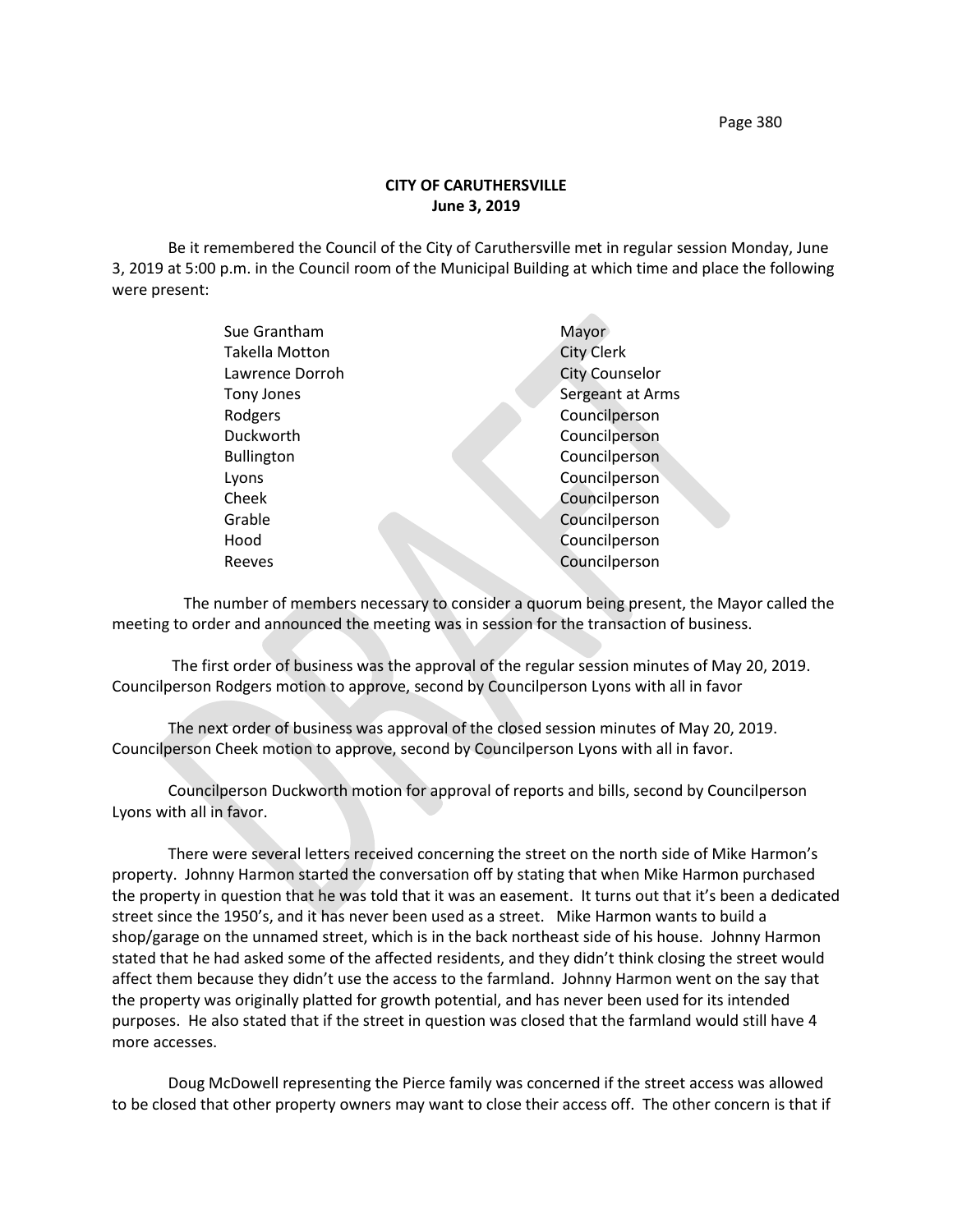Page 380

## **CITY OF CARUTHERSVILLE June 3, 2019**

Be it remembered the Council of the City of Caruthersville met in regular session Monday, June 3, 2019 at 5:00 p.m. in the Council room of the Municipal Building at which time and place the following were present:

| Sue Grantham          | Mayor                 |
|-----------------------|-----------------------|
| <b>Takella Motton</b> | <b>City Clerk</b>     |
| Lawrence Dorroh       | <b>City Counselor</b> |
| Tony Jones            | Sergeant at Arms      |
| Rodgers               | Councilperson         |
| Duckworth             | Councilperson         |
| <b>Bullington</b>     | Councilperson         |
| Lyons                 | Councilperson         |
| Cheek                 | Councilperson         |
| Grable                | Councilperson         |
| Hood                  | Councilperson         |
| Reeves                | Councilperson         |
|                       |                       |

 The number of members necessary to consider a quorum being present, the Mayor called the meeting to order and announced the meeting was in session for the transaction of business.

The first order of business was the approval of the regular session minutes of May 20, 2019. Councilperson Rodgers motion to approve, second by Councilperson Lyons with all in favor

The next order of business was approval of the closed session minutes of May 20, 2019. Councilperson Cheek motion to approve, second by Councilperson Lyons with all in favor.

Councilperson Duckworth motion for approval of reports and bills, second by Councilperson Lyons with all in favor.

There were several letters received concerning the street on the north side of Mike Harmon's property. Johnny Harmon started the conversation off by stating that when Mike Harmon purchased the property in question that he was told that it was an easement. It turns out that it's been a dedicated street since the 1950's, and it has never been used as a street. Mike Harmon wants to build a shop/garage on the unnamed street, which is in the back northeast side of his house. Johnny Harmon stated that he had asked some of the affected residents, and they didn't think closing the street would affect them because they didn't use the access to the farmland. Johnny Harmon went on the say that the property was originally platted for growth potential, and has never been used for its intended purposes. He also stated that if the street in question was closed that the farmland would still have 4 more accesses.

Doug McDowell representing the Pierce family was concerned if the street access was allowed to be closed that other property owners may want to close their access off. The other concern is that if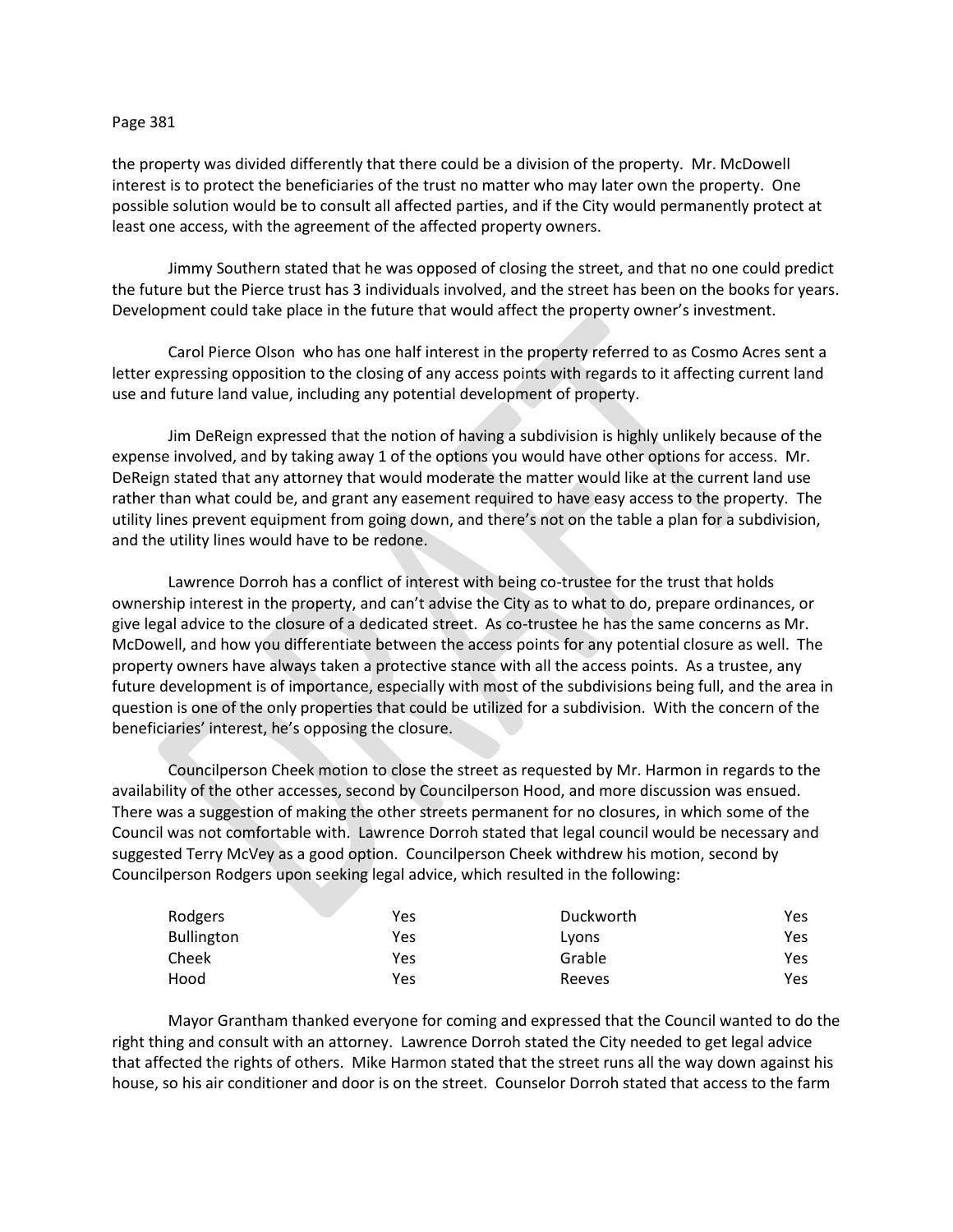## Page 381

the property was divided differently that there could be a division of the property. Mr. McDowell interest is to protect the beneficiaries of the trust no matter who may later own the property. One possible solution would be to consult all affected parties, and if the City would permanently protect at least one access, with the agreement of the affected property owners.

Jimmy Southern stated that he was opposed of closing the street, and that no one could predict the future but the Pierce trust has 3 individuals involved, and the street has been on the books for years. Development could take place in the future that would affect the property owner's investment.

Carol Pierce Olson who has one half interest in the property referred to as Cosmo Acres sent a letter expressing opposition to the closing of any access points with regards to it affecting current land use and future land value, including any potential development of property.

Jim DeReign expressed that the notion of having a subdivision is highly unlikely because of the expense involved, and by taking away 1 of the options you would have other options for access. Mr. DeReign stated that any attorney that would moderate the matter would like at the current land use rather than what could be, and grant any easement required to have easy access to the property. The utility lines prevent equipment from going down, and there's not on the table a plan for a subdivision, and the utility lines would have to be redone.

Lawrence Dorroh has a conflict of interest with being co-trustee for the trust that holds ownership interest in the property, and can't advise the City as to what to do, prepare ordinances, or give legal advice to the closure of a dedicated street. As co-trustee he has the same concerns as Mr. McDowell, and how you differentiate between the access points for any potential closure as well. The property owners have always taken a protective stance with all the access points. As a trustee, any future development is of importance, especially with most of the subdivisions being full, and the area in question is one of the only properties that could be utilized for a subdivision. With the concern of the beneficiaries' interest, he's opposing the closure.

Councilperson Cheek motion to close the street as requested by Mr. Harmon in regards to the availability of the other accesses, second by Councilperson Hood, and more discussion was ensued. There was a suggestion of making the other streets permanent for no closures, in which some of the Council was not comfortable with. Lawrence Dorroh stated that legal council would be necessary and suggested Terry McVey as a good option. Councilperson Cheek withdrew his motion, second by Councilperson Rodgers upon seeking legal advice, which resulted in the following:

| Rodgers           | Yes | Duckworth | Yes |
|-------------------|-----|-----------|-----|
| <b>Bullington</b> | Yes | Lyons     | Yes |
| Cheek             | Yes | Grable    | Yes |
| Hood              | Yes | Reeves    | Yes |

Mayor Grantham thanked everyone for coming and expressed that the Council wanted to do the right thing and consult with an attorney. Lawrence Dorroh stated the City needed to get legal advice that affected the rights of others. Mike Harmon stated that the street runs all the way down against his house, so his air conditioner and door is on the street. Counselor Dorroh stated that access to the farm